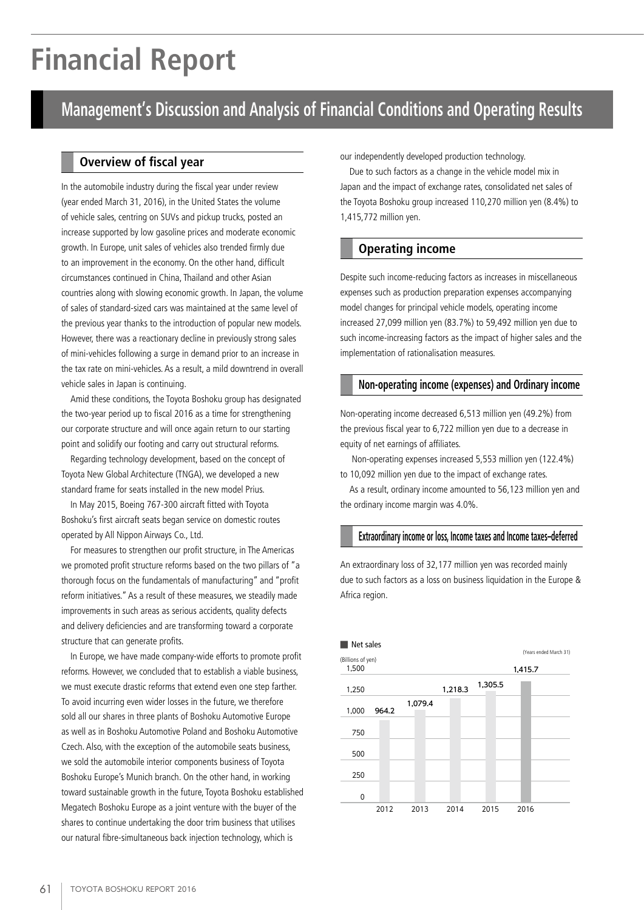# **Financial Report**

### **Management's Discussion and Analysis of Financial Conditions and Operating Results**

In the automobile industry during the fiscal year under review (year ended March 31, 2016), in the United States the volume of vehicle sales, centring on SUVs and pickup trucks, posted an increase supported by low gasoline prices and moderate economic growth. In Europe, unit sales of vehicles also trended firmly due to an improvement in the economy. On the other hand, difficult circumstances continued in China, Thailand and other Asian countries along with slowing economic growth. In Japan, the volume of sales of standard-sized cars was maintained at the same level of the previous year thanks to the introduction of popular new models. However, there was a reactionary decline in previously strong sales of mini-vehicles following a surge in demand prior to an increase in the tax rate on mini-vehicles. As a result, a mild downtrend in overall vehicle sales in Japan is continuing.

Amid these conditions, the Toyota Boshoku group has designated the two-year period up to fiscal 2016 as a time for strengthening our corporate structure and will once again return to our starting point and solidify our footing and carry out structural reforms.

Regarding technology development, based on the concept of Toyota New Global Architecture (TNGA), we developed a new standard frame for seats installed in the new model Prius.

In May 2015, Boeing 767-300 aircraft fitted with Toyota Boshoku's first aircraft seats began service on domestic routes operated by All Nippon Airways Co., Ltd.

For measures to strengthen our profit structure, in The Americas we promoted profit structure reforms based on the two pillars of "a thorough focus on the fundamentals of manufacturing" and "profit reform initiatives." As a result of these measures, we steadily made improvements in such areas as serious accidents, quality defects and delivery deficiencies and are transforming toward a corporate structure that can generate profits.

In Europe, we have made company-wide efforts to promote profit reforms. However, we concluded that to establish a viable business, we must execute drastic reforms that extend even one step farther. To avoid incurring even wider losses in the future, we therefore sold all our shares in three plants of Boshoku Automotive Europe as well as in Boshoku Automotive Poland and Boshoku Automotive Czech. Also, with the exception of the automobile seats business, we sold the automobile interior components business of Toyota Boshoku Europe's Munich branch. On the other hand, in working toward sustainable growth in the future, Toyota Boshoku established Megatech Boshoku Europe as a joint venture with the buyer of the shares to continue undertaking the door trim business that utilises our natural fibre-simultaneous back injection technology, which is

**Overview of fiscal year** our independently developed production technology.

Due to such factors as a change in the vehicle model mix in Japan and the impact of exchange rates, consolidated net sales of the Toyota Boshoku group increased 110,270 million yen (8.4%) to 1,415,772 million yen.

### **Operating income**

Despite such income-reducing factors as increases in miscellaneous expenses such as production preparation expenses accompanying model changes for principal vehicle models, operating income increased 27,099 million yen (83.7%) to 59,492 million yen due to such income-increasing factors as the impact of higher sales and the implementation of rationalisation measures.

#### **Non-operating income (expenses) and Ordinary income**

Non-operating income decreased 6,513 million yen (49.2%) from the previous fiscal year to 6,722 million yen due to a decrease in equity of net earnings of affiliates.

 Non-operating expenses increased 5,553 million yen (122.4%) to 10,092 million yen due to the impact of exchange rates.

As a result, ordinary income amounted to 56,123 million yen and the ordinary income margin was 4.0%.

#### **Extraordinary income or loss, Income taxes and Income taxes–deferred**

An extraordinary loss of 32,177 million yen was recorded mainly due to such factors as a loss on business liquidation in the Europe & Africa region.

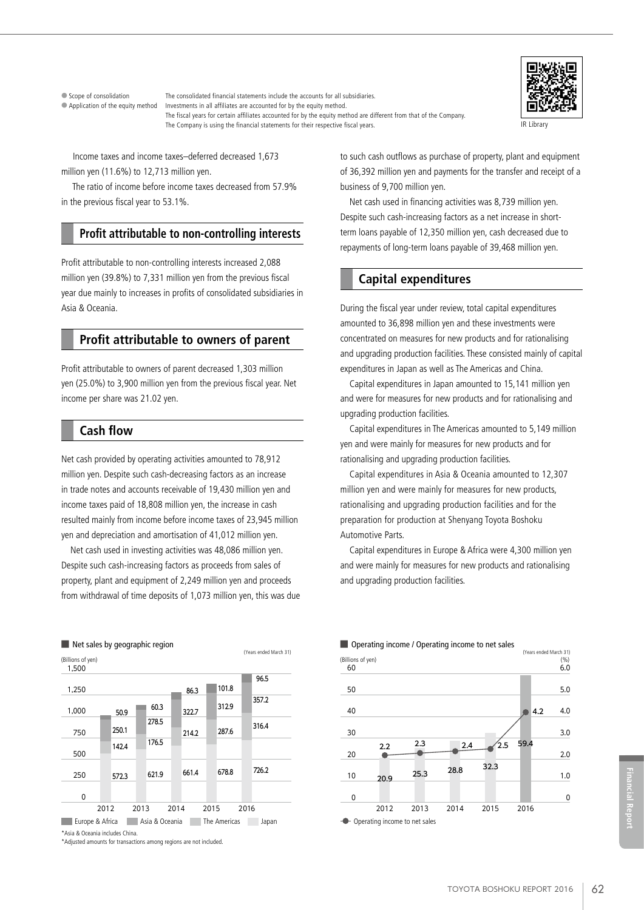● Scope of consolidation The consolidated financial statements include the accounts for all subsidiaries. ● Application of the equity method Investments in all affiliates are accounted for by the equity method. The fiscal years for certain affiliates accounted for by the equity method are different from that of the Company. The Company is using the financial statements for their respective fiscal years.



IR Library

 Income taxes and income taxes–deferred decreased 1,673 million yen (11.6%) to 12,713 million yen.

 The ratio of income before income taxes decreased from 57.9% in the previous fiscal year to 53.1%.

#### **Profit attributable to non-controlling interests**

Profit attributable to non-controlling interests increased 2,088 million yen (39.8%) to 7,331 million yen from the previous fiscal year due mainly to increases in profits of consolidated subsidiaries in Asia & Oceania.

#### **Profit attributable to owners of parent**

Profit attributable to owners of parent decreased 1,303 million yen (25.0%) to 3,900 million yen from the previous fiscal year. Net income per share was 21.02 yen.

#### **Cash flow**

Net cash provided by operating activities amounted to 78,912 million yen. Despite such cash-decreasing factors as an increase in trade notes and accounts receivable of 19,430 million yen and income taxes paid of 18,808 million yen, the increase in cash resulted mainly from income before income taxes of 23,945 million yen and depreciation and amortisation of 41,012 million yen.

Net cash used in investing activities was 48,086 million yen. Despite such cash-increasing factors as proceeds from sales of property, plant and equipment of 2,249 million yen and proceeds from withdrawal of time deposits of 1,073 million yen, this was due



\*Asia & Oceania includes China.

\*Adjusted amounts for transactions among regions are not included.

to such cash outflows as purchase of property, plant and equipment of 36,392 million yen and payments for the transfer and receipt of a business of 9,700 million yen.

Net cash used in financing activities was 8,739 million yen. Despite such cash-increasing factors as a net increase in shortterm loans payable of 12,350 million yen, cash decreased due to repayments of long-term loans payable of 39,468 million yen.

#### **Capital expenditures**

During the fiscal year under review, total capital expenditures amounted to 36,898 million yen and these investments were concentrated on measures for new products and for rationalising and upgrading production facilities. These consisted mainly of capital expenditures in Japan as well as The Americas and China.

Capital expenditures in Japan amounted to 15,141 million yen and were for measures for new products and for rationalising and upgrading production facilities.

Capital expenditures in The Americas amounted to 5,149 million yen and were mainly for measures for new products and for rationalising and upgrading production facilities.

Capital expenditures in Asia & Oceania amounted to 12,307 million yen and were mainly for measures for new products, rationalising and upgrading production facilities and for the preparation for production at Shenyang Toyota Boshoku Automotive Parts.

Capital expenditures in Europe & Africa were 4,300 million yen and were mainly for measures for new products and rationalising and upgrading production facilities.



#### ■ Operating income / Operating income to net sales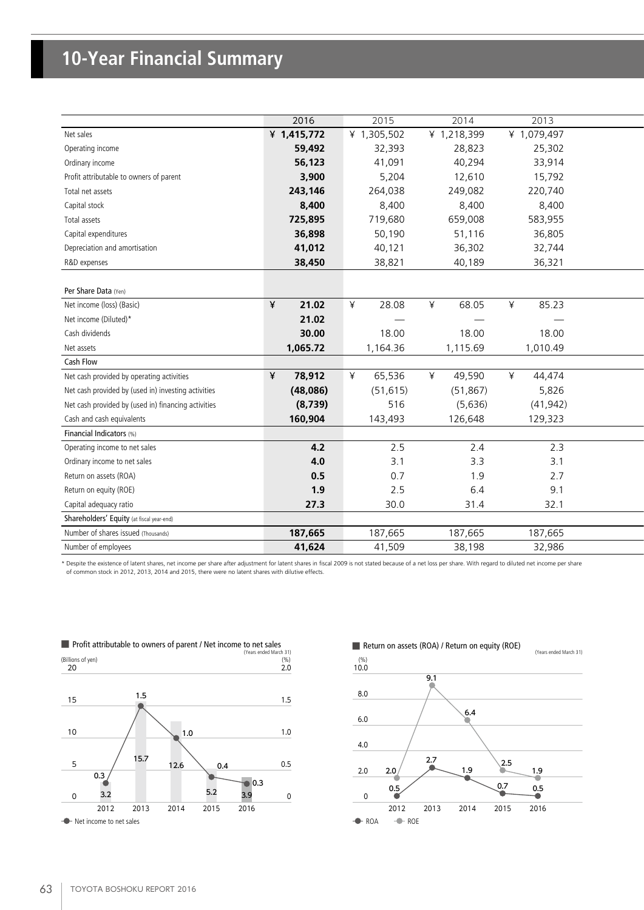## **10-Year Financial Summary**

|                                                     | 2016        | 2015                          | 2014        | 2013                            |
|-----------------------------------------------------|-------------|-------------------------------|-------------|---------------------------------|
| Net sales                                           | ¥ 1,415,772 | ¥ 1,305,502                   | ¥ 1,218,399 | ¥ 1,079,497                     |
| Operating income                                    | 59,492      | 32,393                        | 28,823      | 25,302                          |
| Ordinary income                                     | 56,123      | 41,091                        | 40,294      | 33,914                          |
| Profit attributable to owners of parent             | 3,900       | 5,204                         | 12,610      | 15,792                          |
| Total net assets                                    | 243,146     | 264,038                       | 249,082     | 220,740                         |
| Capital stock                                       | 8,400       | 8,400                         | 8,400       | 8,400                           |
| Total assets                                        | 725,895     | 719,680                       | 659,008     | 583,955                         |
| Capital expenditures                                | 36,898      | 50,190                        | 51,116      | 36,805                          |
| Depreciation and amortisation                       | 41,012      | 40,121                        | 36,302      | 32,744                          |
| R&D expenses                                        | 38,450      | 38,821                        | 40,189      | 36,321                          |
|                                                     |             |                               |             |                                 |
| Per Share Data (Yen)                                |             |                               |             |                                 |
| Net income (loss) (Basic)                           | ¥<br>21.02  | ¥<br>28.08                    | ¥<br>68.05  | 85.23<br>¥                      |
| Net income (Diluted)*                               | 21.02       | $\overbrace{\phantom{13333}}$ |             | $\hspace{0.1mm}-\hspace{0.1mm}$ |
| Cash dividends                                      | 30.00       | 18.00                         | 18.00       | 18.00                           |
| Net assets                                          | 1,065.72    | 1,164.36                      | 1,115.69    | 1,010.49                        |
| Cash Flow                                           |             |                               |             |                                 |
| Net cash provided by operating activities           | 78,912<br>¥ | 65,536<br>⊻                   | 49,590<br>¥ | 44,474<br>¥                     |
| Net cash provided by (used in) investing activities | (48,086)    | (51, 615)                     | (51, 867)   | 5,826                           |
| Net cash provided by (used in) financing activities | (8, 739)    | 516                           | (5,636)     | (41, 942)                       |
| Cash and cash equivalents                           | 160,904     | 143,493                       | 126,648     | 129,323                         |
| Financial Indicators (%)                            |             |                               |             |                                 |
| Operating income to net sales                       | 4.2         | 2.5                           | 2.4         | 2.3                             |
| Ordinary income to net sales                        | 4.0         | 3.1                           | 3.3         | 3.1                             |
| Return on assets (ROA)                              | 0.5         | 0.7                           | 1.9         | 2.7                             |
| Return on equity (ROE)                              | 1.9         | 2.5                           | 6.4         | 9.1                             |
| Capital adequacy ratio                              | 27.3        | 30.0                          | 31.4        | 32.1                            |
| Shareholders' Equity (at fiscal year-end)           |             |                               |             |                                 |
| Number of shares issued (Thousands)                 | 187,665     | 187,665                       | 187,665     | 187,665                         |
| Number of employees                                 | 41,624      | 41,509                        | 38,198      | 32,986                          |
|                                                     |             |                               |             |                                 |

\* Despite the existence of latent shares, net income per share after adjustment for latent shares in fiscal 2009 is not stated because of a net loss per share. With regard to diluted net income per share of common stock in 2012, 2013, 2014 and 2015, there were no latent shares with dilutive effects.

| 1.5<br>15<br>10<br>1.0<br>15.7<br>5<br>12.6<br>0.4                | (% )<br>2.0 |
|-------------------------------------------------------------------|-------------|
|                                                                   | 1.5         |
|                                                                   | 1.0         |
|                                                                   | 0.5         |
| 0.3<br>0.3<br>5.2<br>3.2<br>3.9<br>0                              | 0           |
| 2014<br>2012<br>2013<br>2015<br>2016<br>- Net income to net sales |             |

■ Profit attributable to owners of parent / Net income to net sales

#### Return on assets (ROA) / Return on equity (ROE)